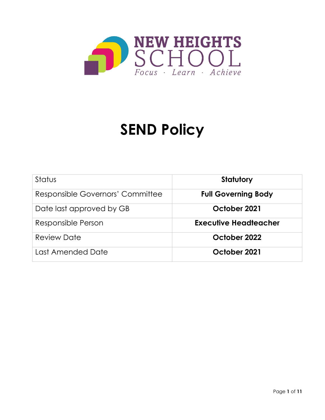

# **SEND Policy**

| Status                           | Statutory                  |
|----------------------------------|----------------------------|
| Responsible Governors' Committee | <b>Full Governing Body</b> |
| Date last approved by GB         | October 2021               |
| Responsible Person               | Executive Headteacher      |
| <b>Review Date</b>               | October 2022               |
| Last Amended Date                | October 2021               |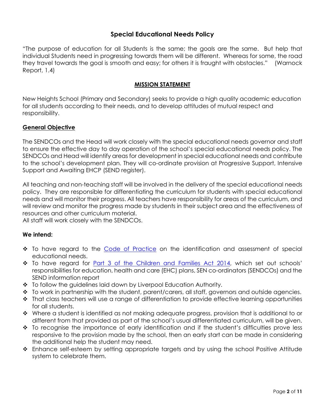# **Special Educational Needs Policy**

"The purpose of education for all Students is the same; the goals are the same. But help that individual Students need in progressing towards them will be different. Whereas for some, the road they travel towards the goal is smooth and easy; for others it is fraught with obstacles." (Warnock Report, 1.4)

# **MISSION STATEMENT**

New Heights School (Primary and Secondary) seeks to provide a high quality academic education for all students according to their needs, and to develop attitudes of mutual respect and responsibility.

# **General Objective**

The SENDCOs and the Head will work closely with the special educational needs governor and staff to ensure the effective day to day operation of the school's special educational needs policy. The SENDCOs and Head will identify areas for development in special educational needs and contribute to the school's development plan. They will co-ordinate provision at Progressive Support, Intensive Support and Awaiting EHCP (SEND register).

All teaching and non-teaching staff will be involved in the delivery of the special educational needs policy. They are responsible for differentiating the curriculum for students with special educational needs and will monitor their progress. All teachers have responsibility for areas of the curriculum, and will review and monitor the progress made by students in their subject area and the effectiveness of resources and other curriculum material.

All staff will work closely with the SENDCOs.

# **We intend:**

- $\cdot\cdot$  To have regard to the [Code of Practice](https://www.gov.uk/government/publications/send-code-of-practice-0-to-25) on the identification and assessment of special educational needs.
- \* To have regard for [Part 3 of the Children and Families Act 2014,](http://www.legislation.gov.uk/ukpga/2014/6/part/3/enacted) which set out schools' responsibilities for education, health and care (EHC) plans, SEN co-ordinators (SENDCOs) and the SEND information report
- To follow the guidelines laid down by Liverpool Education Authority.
- \* To work in partnership with the student, parent/carers, all staff, governors and outside agencies.
- That class teachers will use a range of differentiation to provide effective learning opportunities for all students.
- $\cdot \cdot$  Where a student is identified as not making adequate progress, provision that is additional to or different from that provided as part of the school's usual differentiated curriculum, will be given.
- \* To recognise the importance of early identification and if the student's difficulties prove less responsive to the provision made by the school, then an early start can be made in considering the additional help the student may need.
- Enhance self-esteem by setting appropriate targets and by using the school Positive Attitude system to celebrate them.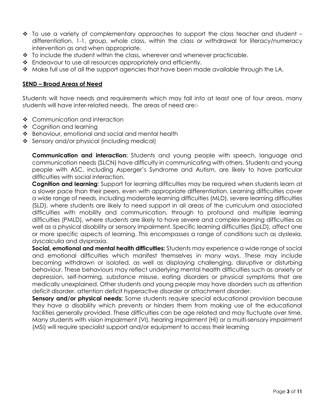- $\cdot \cdot$  To use a variety of complementary approaches to support the class teacher and student differentiation, 1-1, group, whole class, within the class or withdrawal for literacy/numeracy intervention as and when appropriate.
- $\div$  To include the student within the class, wherever and whenever practicable.
- Endeavour to use all resources appropriately and efficiently.
- $\cdot \cdot$  Make full use of all the support agencies that have been made available through the LA.

# **SEND – Broad Areas of Need**

Students will have needs and requirements which may fall into at least one of four areas, many students will have inter-related needs. The areas of need are:-

- ❖ Communication and interaction
- ❖ Cognition and learning
- ❖ Behaviour, emotional and social and mental health
- ❖ Sensory and/or physical (including medical)

**Communication and interaction:** Students and young people with speech, language and communication needs (SLCN) have difficulty in communicating with others. Students and young people with ASC, including Asperger's Syndrome and Autism, are likely to have particular difficulties with social interaction.

**Cognition and learning**: Support for learning difficulties may be required when students learn at a slower pace than their peers, even with appropriate differentiation. Learning difficulties cover a wide range of needs, including moderate learning difficulties (MLD), severe learning difficulties (SLD), where students are likely to need support in all areas of the curriculum and associated difficulties with mobility and communication, through to profound and multiple learning difficulties (PMLD), where students are likely to have severe and complex learning difficulties as well as a physical disability or sensory impairment. Specific learning difficulties (SpLD), affect one or more specific aspects of learning. This encompasses a range of conditions such as dyslexia, dyscalculia and dyspraxia.

**Social, emotional and mental health difficulties:** Students may experience a wide range of social and emotional difficulties which manifest themselves in many ways. These may include becoming withdrawn or isolated, as well as displaying challenging, disruptive or disturbing behaviour. These behaviours may reflect underlying mental health difficulties such as anxiety or depression, self-harming, substance misuse, eating disorders or physical symptoms that are medically unexplained. Other students and young people may have disorders such as attention deficit disorder, attention deficit hyperactive disorder or attachment disorder.

**Sensory and/or physical needs:** Some students require special educational provision because they have a disability which prevents or hinders them from making use of the educational facilities generally provided. These difficulties can be age related and may fluctuate over time. Many students with vision impairment (VI), hearing impairment (HI) or a multi-sensory impairment (MSI) will require specialist support and/or equipment to access their learning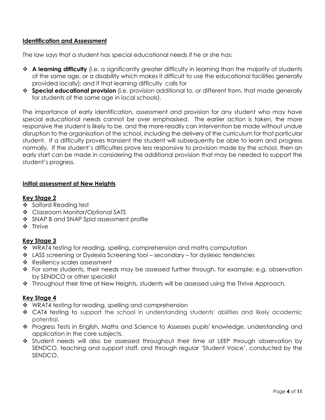# **Identification and Assessment**

The law says that a student has special educational needs if he or she has:

- **A learning difficulty** (i.e. a significantly greater difficulty in learning than the majority of students of the same age, or a disability which makes it difficult to use the educational facilities generally provided locally); and if that learning difficulty calls for
- **Special educational provision** (i.e. provision additional to, or different from, that made generally for students of the same age in local schools).

The importance of early identification, assessment and provision for any student who may have special educational needs cannot be over emphasised. The earlier action is taken, the more responsive the student is likely to be, and the more readily can intervention be made without undue disruption to the organisation of the school, including the delivery of the curriculum for that particular student. If a difficulty proves transient the student will subsequently be able to learn and progress normally. If the student's difficulties prove less responsive to provision made by the school, then an early start can be made in considering the additional provision that may be needed to support the student's progress.

# **Initial assessment at New Heights**

# **Key Stage 2**

- Salford Reading test
- Classroom Monitor/Optional SATS
- ❖ SNAP B and SNAP Spld assessment profile
- **❖** Thrive

# **Key Stage 3**

- ◆ WRAT4 testing for reading, spelling, comprehension and maths computation
- LASS screening or Dyslexia Screening tool secondary for dyslexic tendencies
- \* Resiliency scales assessment
- $\cdot \cdot$  For some students, their needs may be assessed further through, for example; e.g. observation by SENDCO or other specialist
- ❖ Throughout their time at New Heights, students will be assessed using the Thrive Approach.

# **Key Stage 4**

- \* WRAT4 testing for reading, spelling and comprehension
- CAT4 testing to support the school in understanding students' abilities and likely academic potential.
- \* Progress Tests in English, Maths and Science to Assesses pupils' knowledge, understanding and application in the core subjects.
- \* Student needs will also be assessed throughout their time at LEEP through observation by SENDCO, teaching and support staff, and through regular 'Student Voice', conducted by the SENDCO.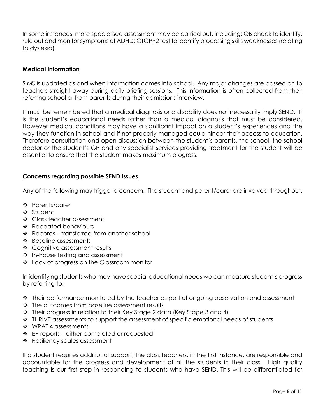In some instances, more specialised assessment may be carried out, including: QB check to identify, rule out and monitor symptoms of ADHD; CTOPP2 test to identify processing skills weaknesses (relating to dyslexia).

# **Medical Information**

SIMS is updated as and when information comes into school. Any major changes are passed on to teachers straight away during daily briefing sessions. This information is often collected from their referring school or from parents during their admissions interview.

It must be remembered that a medical diagnosis or a disability does not necessarily imply SEND. It is the student's educational needs rather than a medical diagnosis that must be considered. However medical conditions may have a significant impact on a student's experiences and the way they function in school and if not properly managed could hinder their access to education. Therefore consultation and open discussion between the student's parents, the school, the school doctor or the student's GP and any specialist services providing treatment for the student will be essential to ensure that the student makes maximum progress.

# **Concerns regarding possible SEND issues**

Any of the following may trigger a concern. The student and parent/carer are involved throughout.

- ❖ Parents/carer
- Student
- ❖ Class teacher assessment
- ❖ Repeated behaviours
- ❖ Records transferred from another school
- ❖ Baseline assessments
- ❖ Cognitive assessment results
- ❖ In-house testing and assessment
- \* Lack of progress on the Classroom monitor

In identifying students who may have special educational needs we can measure student's progress by referring to:

- $\cdot \cdot$  Their performance monitored by the teacher as part of ongoing observation and assessment
- The outcomes from baseline assessment results
- \* Their progress in relation to their Key Stage 2 data (Key Stage 3 and 4)
- \* THRIVE assessments to support the assessment of specific emotional needs of students
- ❖ WRAT 4 assessments
- $\div$  EP reports either completed or requested
- \* Resiliency scales assessment

If a student requires additional support, the class teachers, in the first instance, are responsible and accountable for the progress and development of all the students in their class. High quality teaching is our first step in responding to students who have SEND. This will be differentiated for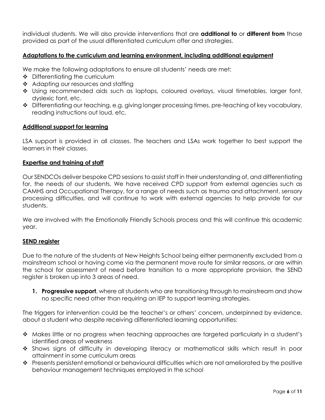individual students. We will also provide interventions that are **additional to** or **different from** those provided as part of the usual differentiated curriculum offer and strategies.

# **Adaptations to the curriculum and learning environment, including additional equipment**

We make the following adaptations to ensure all students' needs are met:

- $\div$  Differentiating the curriculum
- ❖ Adapting our resources and staffing
- \* Using recommended aids such as laptops, coloured overlays, visual timetables, larger font, dyslexic font, etc.
- Differentiating our teaching, e.g. giving longer processing times, pre-teaching of key vocabulary, reading instructions out loud, etc.

# **Additional support for learning**

LSA support is provided in all classes. The teachers and LSAs work together to best support the learners in their classes.

#### **Expertise and training of staff**

Our SENDCOs deliver bespoke CPD sessions to assist staff in their understanding of, and differentiating for, the needs of our students. We have received CPD support from external agencies such as CAMHS and Occupational Therapy, for a range of needs such as trauma and attachment, sensory processing difficulties, and will continue to work with external agencies to help provide for our students.

We are involved with the Emotionally Friendly Schools process and this will continue this academic year.

# **SEND register**

Due to the nature of the students at New Heights School being either permanently excluded from a mainstream school or having come via the permanent move route for similar reasons, or are within the school for assessment of need before transition to a more appropriate provision, the SEND register is broken up into 3 areas of need.

**1. Progressive support**, where all students who are transitioning through to mainstream and show no specific need other than requiring an IEP to support learning strategies.

The triggers for intervention could be the teacher's or others' concern, underpinned by evidence, about a student who despite receiving differentiated learning opportunities:

- $\leftrightarrow$  Makes little or no progress when teaching approaches are targeted particularly in a student's identified areas of weakness
- Shows signs of difficulty in developing literacy or mathematical skills which result in poor attainment in some curriculum areas
- Presents persistent emotional or behavioural difficulties which are not ameliorated by the positive behaviour management techniques employed in the school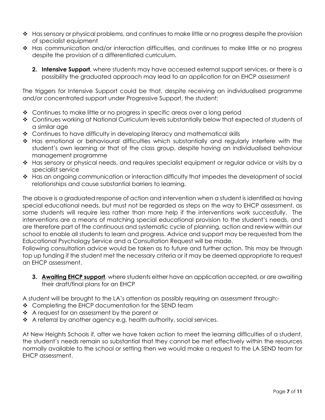- $\leftrightarrow$  Has sensory or physical problems, and continues to make little or no progress despite the provision of specialist equipment
- Has communication and/or interaction difficulties, and continues to make little or no progress despite the provision of a differentiated curriculum.
	- **2. Intensive Support**, where students may have accessed external support services, or there is a possibility the graduated approach may lead to an application for an EHCP assessment

The triggers for Intensive Support could be that, despite receiving an individualised programme and/or concentrated support under Progressive Support, the student:

- Continues to make little or no progress in specific areas over a long period
- ◆ Continues working at National Curriculum levels substantially below that expected of students of a similar age
- Continues to have difficulty in developing literacy and mathematical skills
- Has emotional or behavioural difficulties which substantially and regularly interfere with the student's own learning or that of the class group, despite having an individualised behaviour management programme
- \* Has sensory or physical needs, and requires specialist equipment or regular advice or visits by a specialist service
- \* Has an ongoing communication or interaction difficulty that impedes the development of social relationships and cause substantial barriers to learning.

The above is a graduated response of action and intervention when a student is identified as having special educational needs, but must not be regarded as steps on the way to EHCP assessment, as some students will require less rather than more help if the interventions work successfully. The interventions are a means of matching special educational provision to the student's needs, and are therefore part of the continuous and systematic cycle of planning, action and review within our school to enable all students to learn and progress. Advice and support may be requested from the Educational Psychology Service and a Consultation Request will be made.

Following consultation advice would be taken as to future and further action. This may be through top up funding if the student met the necessary criteria or it may be deemed appropriate to request an EHCP assessment.

**3. Awaiting EHCP support**, where students either have an application accepted, or are awaiting their draft/final plans for an EHCP

A student will be brought to the LA's attention as possibly requiring an assessment through:-

- ❖ Completing the EHCP documentation for the SEND team
- ❖ A request for an assessment by the parent or
- ◆ A referral by another agency e.g. health authority, social services.

At New Heights Schools if, after we have taken action to meet the learning difficulties of a student, the student's needs remain so substantial that they cannot be met effectively within the resources normally available to the school or setting then we would make a request to the LA SEND team for EHCP assessment.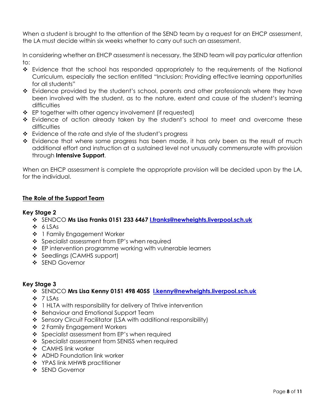When a student is brought to the attention of the SEND team by a request for an EHCP assessment, the LA must decide within six weeks whether to carry out such an assessment.

In considering whether an EHCP assessment is necessary, the SEND team will pay particular attention to:

- \* Evidence that the school has responded appropriately to the requirements of the National Curriculum, especially the section entitled "Inclusion: Providing effective learning opportunities for all students"
- Evidence provided by the student's school, parents and other professionals where they have been involved with the student, as to the nature, extent and cause of the student's learning difficulties
- $\div$  EP together with other agency involvement (if requested)
- \* Evidence of action already taken by the student's school to meet and overcome these difficulties
- $\div$  Evidence of the rate and style of the student's progress
- $\cdot \cdot$  Evidence that where some progress has been made, it has only been as the result of much additional effort and instruction at a sustained level not unusually commensurate with provision through **Intensive Support**.

When an EHCP assessment is complete the appropriate provision will be decided upon by the LA, for the individual.

# **The Role of the Support Team**

# **Key Stage 2**

- SENDCO **Ms Lisa Franks 0151 233 6467 [l.franks@newheights.liverpool.sch.uk](mailto:l.franks@newheights.liverpool.sch.uk)**
- $6$  LSAs
- ❖ 1 Family Engagement Worker
- ❖ Specialist assessment from EP's when required
- ❖ EP intervention programme working with vulnerable learners
- ❖ Seedlings (CAMHS support)
- ❖ SEND Governor

# **Key Stage 3**

- SENDCO **Mrs Lisa Kenny 0151 498 4055 [l.kenny@newheights.liverpool.sch.uk](mailto:l.kenny@newheights.liverpool.sch.uk)**
- 7 LSAs
- ❖ 1 HLTA with responsibility for delivery of Thrive intervention
- ❖ Behaviour and Emotional Support Team
- ◆ Sensory Circuit Facilitator (LSA with additional responsibility)
- 2 Family Engagement Workers
- ❖ Specialist assessment from EP's when required
- ❖ Specialist assessment from SENISS when required
- ❖ CAMHS link worker
- ❖ ADHD Foundation link worker
- ❖ YPAS link MHWB practitioner
- ❖ SEND Governor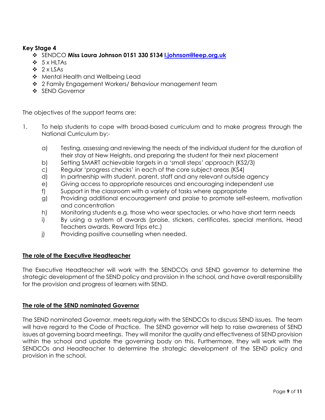# **Key Stage 4**

- SENDCO **Miss Laura Johnson 0151 330 5134 [l.johnson@leep.org.uk](mailto:l.johnson@leep.org.uk)**
- $\div$  5 x HITAs
- $\div$  2 x LSAs
- \* Mental Health and Wellbeing Lead
- ❖ 2 Family Engagement Workers/ Behaviour management team
- ❖ SEND Governor

The objectives of the support teams are:

- 1. To help students to cope with broad-based curriculum and to make progress through the National Curriculum by:
	- a) Testing, assessing and reviewing the needs of the individual student for the duration of their stay at New Heights, and preparing the student for their next placement
	- b) Setting SMART achievable targets in a 'small steps' approach (KS2/3)
	- c) Regular 'progress checks' in each of the core subject areas (KS4)
	- d) In partnership with student, parent, staff and any relevant outside agency
	- e) Giving access to appropriate resources and encouraging independent use
	- f) Support in the classroom with a variety of tasks where appropriate
	- g) Providing additional encouragement and praise to promote self-esteem, motivation and concentration
	- h) Monitoring students e.g. those who wear spectacles, or who have short term needs
	- i) By using a system of awards (praise, stickers, certificates, special mentions, Head Teachers awards, Reward Trips etc.)
	- j) Providing positive counselling when needed.

# **The role of the Executive Headteacher**

The Executive Headteacher will work with the SENDCOs and SEND governor to determine the strategic development of the SEND policy and provision in the school, and have overall responsibility for the provision and progress of learners with SEND.

# **The role of the SEND nominated Governor**

The SEND nominated Governor, meets regularly with the SENDCOs to discuss SEND issues. The team will have regard to the Code of Practice. The SEND governor will help to raise awareness of SEND issues at governing board meetings. They will monitor the quality and effectiveness of SEND provision within the school and update the governing body on this. Furthermore, they will work with the SENDCOs and Headteacher to determine the strategic development of the SEND policy and provision in the school.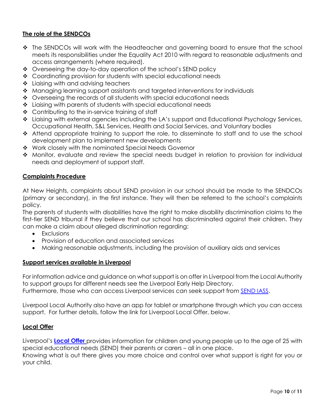# **The role of the SENDCOs**

- ◆ The SENDCOs will work with the Headteacher and governing board to ensure that the school meets its responsibilities under the Equality Act 2010 with regard to reasonable adjustments and access arrangements (where required).
- Overseeing the day-to-day operation of the school's SEND policy
- ◆ Coordinating provision for students with special educational needs
- $\div$  Liaising with and advising teachers
- Managing learning support assistants and targeted interventions for individuals
- ◆ Overseeing the records of all students with special educational needs
- Liaising with parents of students with special educational needs
- ❖ Contributing to the in-service training of staff
- \* Liaising with external agencies including the LA's support and Educational Psychology Services, Occupational Health, S&L Services, Health and Social Services, and Voluntary bodies
- \* Attend appropriate training to support the role, to disseminate to staff and to use the school development plan to implement new developments
- ◆ Work closely with the nominated Special Needs Governor
- \* Monitor, evaluate and review the special needs budget in relation to provision for individual needs and deployment of support staff.

# **Complaints Procedure**

At New Heights, complaints about SEND provision in our school should be made to the SENDCOs (primary or secondary), in the first instance. They will then be referred to the school's complaints policy.

The parents of students with disabilities have the right to make disability discrimination claims to the first-tier SEND tribunal if they believe that our school has discriminated against their children. They can make a claim about alleged discrimination regarding:

- Exclusions
- Provision of education and associated services
- Making reasonable adjustments, including the provision of auxiliary aids and services

# **Support services available in Liverpool**

For information advice and guidance on what support is on offer in Liverpool from the Local Authority to support groups for different needs see the Liverpool Early Help Directory. Furthermore, those who can access Liverpool services can seek support from [SEND IASS.](http://search3.openobjects.com/kb5/liverpool/fsd/service.page?id=bPa4bJNDWDo)

Liverpool Local Authority also have an app for tablet or smartphone through which you can access support. For further details, follow the link for Liverpool Local Offer, below.

# **Local Offer**

Liverpool's **[Local Offer](http://search3.openobjects.com/kb5/liverpool/fsd/localoffer.page?localofferchannel=0)** provides information for children and young people up to the age of 25 with special educational needs (SEND) their parents or carers – all in one place.

Knowing what is out there gives you more choice and control over what support is right for you or your child.